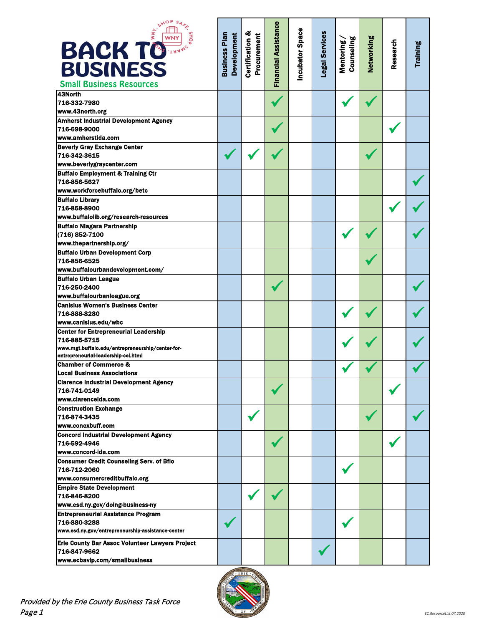| SHOP<br>$\sum_{k=1}^{n}$<br><b>BACK TO</b><br><b>BUSINESS</b><br><b>Small Business Resources</b> | <b>Business Plan</b><br>Development | <b>Certification &amp;</b><br>Procurement | Financial Assistance | ncubator Space | egal Services | Counseling<br>Mentoring | Vetworking | Research | Training |
|--------------------------------------------------------------------------------------------------|-------------------------------------|-------------------------------------------|----------------------|----------------|---------------|-------------------------|------------|----------|----------|
| 43North<br>716-332-7980                                                                          |                                     |                                           |                      |                |               |                         |            |          |          |
| www.43north.org                                                                                  |                                     |                                           |                      |                |               |                         |            |          |          |
| <b>Amherst Industrial Development Agency</b>                                                     |                                     |                                           |                      |                |               |                         |            |          |          |
| 716-698-9000                                                                                     |                                     |                                           |                      |                |               |                         |            |          |          |
| www.amherstida.com                                                                               |                                     |                                           |                      |                |               |                         |            |          |          |
| <b>Beverly Gray Exchange Center</b>                                                              |                                     |                                           |                      |                |               |                         |            |          |          |
| 716-342-3615                                                                                     |                                     |                                           |                      |                |               |                         |            |          |          |
| www.beverlygraycenter.com                                                                        |                                     |                                           |                      |                |               |                         |            |          |          |
| <b>Buffalo Employment &amp; Training Ctr</b><br>716-856-5627                                     |                                     |                                           |                      |                |               |                         |            |          |          |
| www.workforcebuffalo.org/betc                                                                    |                                     |                                           |                      |                |               |                         |            |          |          |
| <b>Buffalo Library</b>                                                                           |                                     |                                           |                      |                |               |                         |            |          |          |
| 716-858-8900                                                                                     |                                     |                                           |                      |                |               |                         |            |          |          |
| www.buffalolib.org/research-resources                                                            |                                     |                                           |                      |                |               |                         |            |          |          |
| <b>Buffalo Niagara Partnership</b>                                                               |                                     |                                           |                      |                |               |                         |            |          |          |
| (716) 852-7100                                                                                   |                                     |                                           |                      |                |               |                         |            |          |          |
| www.thepartnership.org/                                                                          |                                     |                                           |                      |                |               |                         |            |          |          |
| <b>Buffalo Urban Development Corp</b>                                                            |                                     |                                           |                      |                |               |                         |            |          |          |
| 716-856-6525                                                                                     |                                     |                                           |                      |                |               |                         |            |          |          |
| www.buffalourbandevelopment.com/                                                                 |                                     |                                           |                      |                |               |                         |            |          |          |
| <b>Buffalo Urban League</b>                                                                      |                                     |                                           |                      |                |               |                         |            |          |          |
| 716-250-2400                                                                                     |                                     |                                           |                      |                |               |                         |            |          |          |
| www.buffalourbanleague.org                                                                       |                                     |                                           |                      |                |               |                         |            |          |          |
| <b>Canisius Women's Business Center</b>                                                          |                                     |                                           |                      |                |               |                         |            |          |          |
| 716-888-8280                                                                                     |                                     |                                           |                      |                |               |                         |            |          |          |
| www.canisius.edu/wbc                                                                             |                                     |                                           |                      |                |               |                         |            |          |          |
| <b>Center for Entrepreneurial Leadership</b><br>716-885-5715                                     |                                     |                                           |                      |                |               |                         |            |          |          |
| www.mgt.buffalo.edu/entrepreneurship/center-for-                                                 |                                     |                                           |                      |                |               |                         |            |          |          |
| entrepreneurial-leadership-cel.html                                                              |                                     |                                           |                      |                |               |                         |            |          |          |
| <b>Chamber of Commerce &amp;</b>                                                                 |                                     |                                           |                      |                |               |                         |            |          |          |
| <b>Local Business Associations</b>                                                               |                                     |                                           |                      |                |               |                         |            |          |          |
| <b>Clarence Industrial Development Agency</b>                                                    |                                     |                                           |                      |                |               |                         |            |          |          |
| 716-741-0149                                                                                     |                                     |                                           |                      |                |               |                         |            |          |          |
| www.clarenceida.com                                                                              |                                     |                                           |                      |                |               |                         |            |          |          |
| <b>Construction Exchange</b>                                                                     |                                     |                                           |                      |                |               |                         |            |          |          |
| 716-874-3435                                                                                     |                                     |                                           |                      |                |               |                         |            |          |          |
| www.conexbuff.com                                                                                |                                     |                                           |                      |                |               |                         |            |          |          |
| <b>Concord Industrial Development Agency</b><br>716-592-4946                                     |                                     |                                           |                      |                |               |                         |            |          |          |
| www.concord-ida.com                                                                              |                                     |                                           |                      |                |               |                         |            |          |          |
| <b>Consumer Credit Counseling Serv. of Bflo</b>                                                  |                                     |                                           |                      |                |               |                         |            |          |          |
| 716-712-2060                                                                                     |                                     |                                           |                      |                |               |                         |            |          |          |
| www.consumercreditbuffalo.org                                                                    |                                     |                                           |                      |                |               |                         |            |          |          |
| <b>Empire State Development</b>                                                                  |                                     |                                           |                      |                |               |                         |            |          |          |
| 716-846-8200                                                                                     |                                     |                                           |                      |                |               |                         |            |          |          |
| www.esd.ny.gov/doing-business-ny                                                                 |                                     |                                           |                      |                |               |                         |            |          |          |
| <b>Entrepreneurial Assistance Program</b>                                                        |                                     |                                           |                      |                |               |                         |            |          |          |
| 716-880-3288                                                                                     |                                     |                                           |                      |                |               |                         |            |          |          |
| www.esd.ny.gov/entrepreneurship-assistance-center                                                |                                     |                                           |                      |                |               |                         |            |          |          |
| Erie County Bar Assoc Volunteer Lawyers Project                                                  |                                     |                                           |                      |                |               |                         |            |          |          |
| 716-847-9662                                                                                     |                                     |                                           |                      |                |               |                         |            |          |          |
| www.ecbavlp.com/smallbusiness                                                                    |                                     |                                           |                      |                |               |                         |            |          |          |